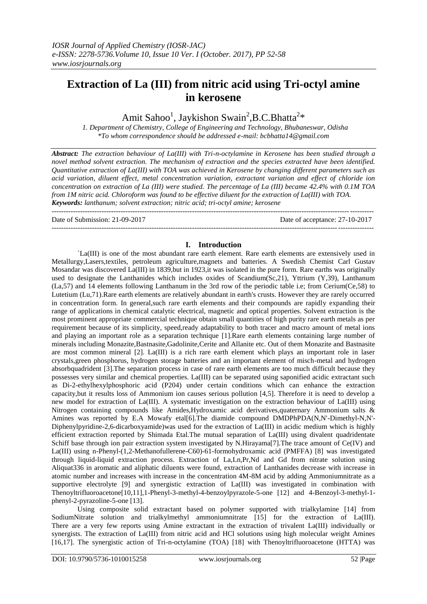# **Extraction of La (III) from nitric acid using Tri-octyl amine in kerosene**

Amit Sahoo<sup>1</sup>, Jaykishon Swain<sup>2</sup>, B.C. Bhatta<sup>2\*</sup>

 *1. Department of Chemistry, College of Engineering and Technology, Bhubaneswar, Odisha \*To whom correspondence should be addressed e-mail: [bcbhatta14@gmail.com](mailto:bcbhatta14@gmail.com)*

*Abstract: The extraction behaviour of La(III) with Tri-n-octylamine in Kerosene has been studied through a novel method solvent extraction. The mechanism of extraction and the species extracted have been identified. Quantitative extraction of La(III) with TOA was achieved in Kerosene by changing different parameters such as acid variation, diluent effect, metal concentration variation, extractant variation and effect of chloride ion concentration on extraction of La (III) were studied. The percentage of La (III) became 42.4% with 0.1M TOA from 1M nitric acid. Chloroform was found to be effective diluent for the extraction of La(III) with TOA. Keywords: lanthanum; solvent extraction; nitric acid; tri-octyl amine; kerosene*

---------------------------------------------------------------------------------------------------------------------------------------

Date of Submission: 21-09-2017 Date of acceptance: 27-10-2017

**I. Introduction** `La(III) is one of the most abundant rare earth element. Rare earth elements are extensively used in Metallurgy,Lasers,textiles, petroleum agriculture,magnets and batteries. A Swedish Chemist Carl Gustav Mosandar was discovered La(III) in 1839,but in 1923,it was isolated in the pure form. Rare earths was originally used to designate the Lanthanides which includes oxides of Scandium(Sc,21), Yttrium (Y,39), Lanthanum (La,57) and 14 elements following Lanthanum in the 3rd row of the periodic table i.e; from Cerium(Ce,58) to Lutetium (Lu,71).Rare earth elements are relatively abundant in earth's crusts. However they are rarely occurred in concentration form. In general,such rare earth elements and their compounds are rapidly expanding their range of applications in chemical catalytic electrical, magnetic and optical properties. Solvent extraction is the most prominent appropriate commercial technique obtain small quantities of high purity rare earth metals as per requirement because of its simplicity, speed,ready adaptability to both tracer and macro amount of metal ions and playing an important role as a separation technique [1].Rare earth elements containing large number of minerals including Monazite,Bastnasite,Gadolinite,Cerite and Allanite etc. Out of them Monazite and Bastnasite are most common mineral [2]. La(III) is a rich rare earth element which plays an important role in laser crystals,green phosphorus, hydrogen storage batteries and an important element of misch-metal and hydrogen absorbquadrident [3].The separation process in case of rare earth elements are too much difficult because they possesses very similar and chemical properties. La(III) can be separated using saponified acidic extractant such as Di-2-ethylhexylphosphoric acid (P204) under certain conditions which can enhance the extraction capacity,but it results loss of Ammonium ion causes serious pollution [4,5]. Therefore it is need to develop a new model for extraction of La(III). A systematic investigation on the extraction behaviour of La(III) using Nitrogen containing compounds like Amides,Hydroxamic acid derivatives,quaternary Ammonium salts & Amines was reported by E.A Mowafy etal[6].The diamide compound DMDPhPDA(N,N'-Dimethyl-N,N'- Diphenylpyridine-2,6-dicarboxyamide)was used for the extraction of La(III) in acidic medium which is highly efficient extraction reported by Shimada Etal.The mutual separation of La(III) using divalent quadridentate Schiff base through ion pair extraction system investigated by N.Hirayama[7].The trace amount of Ce(IV) and La(III) using n-Phenyl-(1,2-Methanofullerene-C60)-61-formohydroxamic acid (PMFFA) [8] was investigated through liquid-liquid extraction process. Extraction of La,Ln,Pr,Nd and Gd from nitrate solution using Aliquat336 in aromatic and aliphatic diluents were found, extraction of Lanthanides decrease with increase in atomic number and increases with increase in the concentration 4M-8M acid by adding Ammoniumnitrate as a supportive electrolyte [9] and synergistic extraction of La(III) was investigated in combination with Thenoyltrifluoroacetone[10,11],1-Phenyl-3-methyl-4-benzoylpyrazole-5-one [12] and 4-Benzoyl-3-methyl-1 phenyl-2-pyrazoline-5-one [13].

Using composite solid extractant based on polymer supported with trialkylamine [14] from SodiumNitrate solution and trialkylmethyl ammoniumnitrate [15] for the extraction of La(III). There are a very few reports using Amine extractant in the extraction of trivalent La(III) individually or synergists. The extraction of La(III) from nitric acid and HCl solutions using high molecular weight Amines [16,17]. The synergistic action of Tri-n-octylamine (TOA) [18] with Thenoyltrifluoroacetone (HTTA) was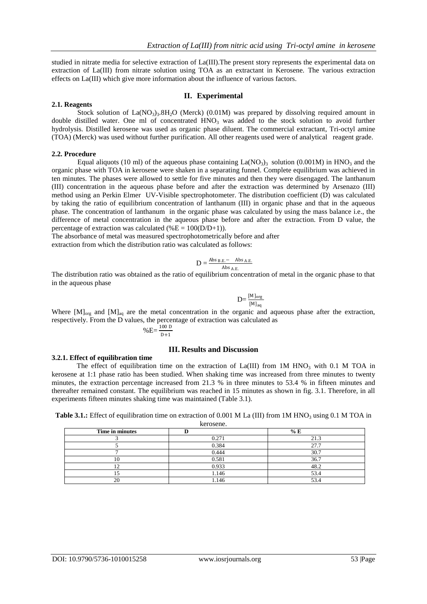studied in nitrate media for selective extraction of La(III).The present story represents the experimental data on extraction of La(III) from nitrate solution using TOA as an extractant in Kerosene. The various extraction effects on La(III) which give more information about the influence of various factors.

### **II. Experimental**

#### **2.1. Reagents**

Stock solution of  $La(NO_3)$ <sub>3</sub>.8H<sub>2</sub>O (Merck) (0.01M) was prepared by dissolving required amount in double distilled water. One ml of concentrated  $HNO<sub>3</sub>$  was added to the stock solution to avoid further hydrolysis. Distilled kerosene was used as organic phase diluent. The commercial extractant, Tri-octyl amine (TOA) (Merck) was used without further purification. All other reagents used were of analytical reagent grade.

### **2.2. Procedure**

Equal aliquots (10 ml) of the aqueous phase containing  $La(NO_3)$ <sub>3</sub> solution (0.001M) in HNO<sub>3</sub> and the organic phase with TOA in kerosene were shaken in a separating funnel. Complete equilibrium was achieved in ten minutes. The phases were allowed to settle for five minutes and then they were disengaged. The lanthanum (III) concentration in the aqueous phase before and after the extraction was determined by Arsenazo (III) method using an Perkin Elmer UV-Visible spectrophotometer. The distribution coefficient (D) was calculated by taking the ratio of equilibrium concentration of lanthanum (III) in organic phase and that in the aqueous phase. The concentration of lanthanum in the organic phase was calculated by using the mass balance i.e., the difference of metal concentration in the aqueous phase before and after the extraction. From D value, the percentage of extraction was calculated (% $E = 100(D/D+1)$ ).

The absorbance of metal was measured spectrophotometrically before and after extraction from which the distribution ratio was calculated as follows:

$$
D = \frac{\text{Abs}_{B.E.} - \text{ Abs}_{A.E.}}{\text{Abs}_{A.E.}}
$$

The distribution ratio was obtained as the ratio of equilibrium concentration of metal in the organic phase to that in the aqueous phase

$$
D = \frac{[M]_{org}}{[M]_{aq}}
$$

 $\ddot{\phantom{0}}$ 

Where  $[M]_{org}$  and  $[M]_{aq}$  are the metal concentration in the organic and aqueous phase after the extraction, respectively. From the D values, the percentage of extraction was calculated as

$$
\%E = \frac{100 \text{ D}}{\text{D}+1}
$$

# **III. Results and Discussion**

#### **3.2.1. Effect of equilibration time**

The effect of equilibration time on the extraction of  $La(III)$  from 1M HNO<sub>3</sub> with 0.1 M TOA in kerosene at 1:1 phase ratio has been studied. When shaking time was increased from three minutes to twenty minutes, the extraction percentage increased from 21.3 % in three minutes to 53.4 % in fifteen minutes and thereafter remained constant. The equilibrium was reached in 15 minutes as shown in fig. 3.1. Therefore, in all experiments fifteen minutes shaking time was maintained (Table 3.1).

**Table 3.1.:** Effect of equilibration time on extraction of 0.001 M La (III) from 1M HNO<sub>3</sub> using 0.1 M TOA in kerosene.

| Time in minutes |       | % E  |
|-----------------|-------|------|
|                 | 0.271 | 21.3 |
|                 | 0.384 | 27.  |
|                 | 0.444 | 30.7 |
|                 | 0.581 | 36.7 |
|                 | 0.933 | 48.2 |
|                 | 1.146 | 53.4 |
|                 | 1.146 | 53.4 |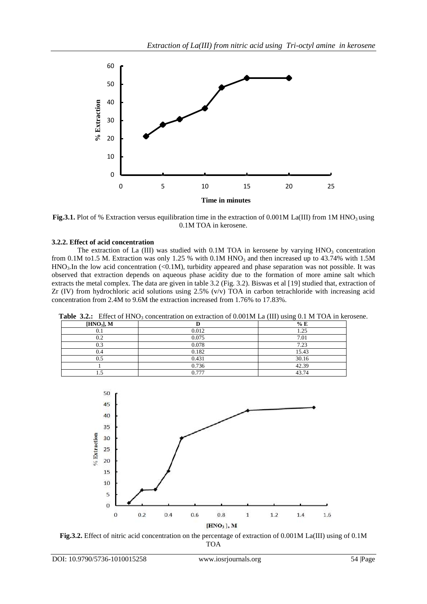

**Fig.3.1.** Plot of % Extraction versus equilibration time in the extraction of 0.001M La(III) from 1M HNO<sub>3</sub> using 0.1M TOA in kerosene.

# **3.2.2. Effect of acid concentration**

The extraction of La (III) was studied with  $0.1M$  TOA in kerosene by varying  $HNO<sub>3</sub>$  concentration from 0.1M to1.5 M. Extraction was only 1.25 % with 0.1M HNO<sub>3</sub> and then increased up to 43.74% with 1.5M  $HNO<sub>3</sub>$ . In the low acid concentration (<0.1M), turbidity appeared and phase separation was not possible. It was observed that extraction depends on aqueous phase acidity due to the formation of more amine salt which extracts the metal complex. The data are given in table 3.2 (Fig. 3.2). Biswas et al [19] studied that, extraction of Zr (IV) from hydrochloric acid solutions using  $2.5\%$  (v/v) TOA in carbon tetrachloride with increasing acid concentration from 2.4M to 9.6M the extraction increased from 1.76% to 17.83%.

| ╯<br>[HNO <sub>3</sub> ], M |       | % E   |
|-----------------------------|-------|-------|
| U.I                         | 0.012 | 1.25  |
| 0.2                         | 0.075 | 7.01  |
| 0.3                         | 0.078 | 7.23  |
| 0.4                         | 0.182 | 15.43 |
| 0.5                         | 0.431 | 30.16 |
|                             | 0.736 | 42.39 |
|                             | 0.777 | 43.74 |

**Table 3.2.:** Effect of HNO<sub>3</sub> concentration on extraction of 0.001M La (III) using 0.1 M TOA in kerosene.



**Fig.3.2.** Effect of nitric acid concentration on the percentage of extraction of 0.001M La(III) using of 0.1M TOA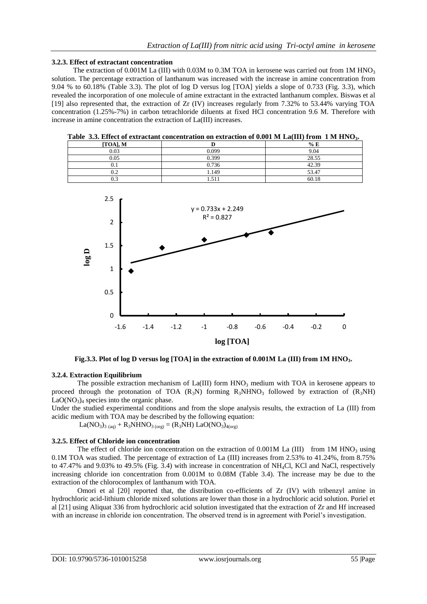#### **3.2.3. Effect of extractant concentration**

The extraction of  $0.001M$  La (III) with 0.03M to 0.3M TOA in kerosene was carried out from 1M HNO<sub>3</sub> solution. The percentage extraction of lanthanum was increased with the increase in amine concentration from 9.04 % to 60.18% (Table 3.3). The plot of log D versus log [TOA] yields a slope of 0.733 (Fig. 3.3), which revealed the incorporation of one molecule of amine extractant in the extracted lanthanum complex. Biswas et al [19] also represented that, the extraction of Zr (IV) increases regularly from 7.32% to 53.44% varying TOA concentration (1.25%-7%) in carbon tetrachloride diluents at fixed HCl concentration 9.6 M. Therefore with increase in amine concentration the extraction of La(III) increases.

| .           |       | .<br>$\sim$ $\sim$ $\sim$ $\sim$ $\sim$ $\sim$ |
|-------------|-------|------------------------------------------------|
| $[TOA]$ , M |       | % E                                            |
| 0.03        | ን 099 | 9.04                                           |
| 0.05        | 0.399 | 28.55                                          |
|             | 0.736 | 42.39                                          |
| 0.2         | 1.149 | 53.47                                          |
| 0.3         | 1.511 | 60.18                                          |

**Table 3.3. Effect of extractant concentration on extraction of 0.001 M La(III) from 1 M HNO3.**



**Fig.3.3. Plot of log D versus log [TOA] in the extraction of 0.001M La (III) from 1M HNO3.**

#### **3.2.4. Extraction Equilibrium**

The possible extraction mechanism of  $La(III)$  form  $HNO<sub>3</sub>$  medium with TOA in kerosene appears to proceed through the protonation of TOA  $(R_3N)$  forming  $R_3NHNO_3$  followed by extraction of  $(R_3NH)$  $LaO(NO<sub>3</sub>)<sub>4</sub>$  species into the organic phase.

Under the studied experimental conditions and from the slope analysis results, the extraction of La (III) from acidic medium with TOA may be described by the following equation:

 $La(NO<sub>3</sub>)<sub>3 (aq)</sub> + R<sub>3</sub>NHNO<sub>3 (org)</sub> = (R<sub>3</sub>NH) LaO(NO<sub>3</sub>)<sub>4(org)</sub>$ 

#### **3.2.5. Effect of Chloride ion concentration**

The effect of chloride ion concentration on the extraction of  $0.001M$  La (III) from 1M HNO<sub>3</sub> using 0.1M TOA was studied. The percentage of extraction of La (III) increases from 2.53% to 41.24%, from 8.75% to 47.47% and 9.03% to 49.5% (Fig. 3.4) with increase in concentration of NH4Cl, KCl and NaCl, respectively increasing chloride ion concentration from 0.001M to 0.08M (Table 3.4). The increase may be due to the extraction of the chlorocomplex of lanthanum with TOA.

Omori et al [20] reported that, the distribution co-efficients of Zr (IV) with tribenzyl amine in hydrochloric acid-lithium chloride mixed solutions are lower than those in a hydrochloric acid solution. Poriel et al [21] using Aliquat 336 from hydrochloric acid solution investigated that the extraction of Zr and Hf increased with an increase in chloride ion concentration. The observed trend is in agreement with Poriel's investigation.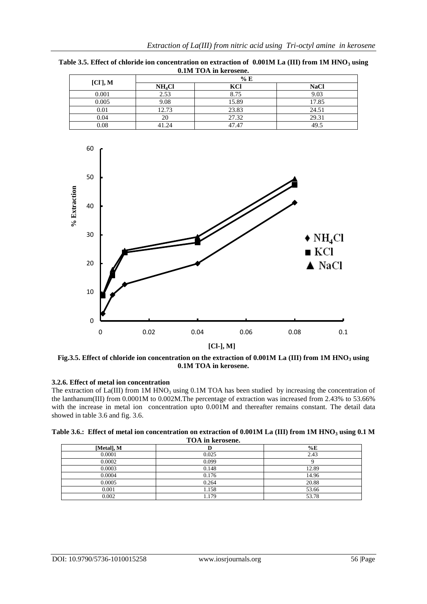| V.IIVI I OTT III KEI OSCHE. |                    |       |       |
|-----------------------------|--------------------|-------|-------|
| $[CI^{\cdot}], M$           | % E                |       |       |
|                             | NH <sub>4</sub> Cl | KCI   | NaCl  |
| 0.001                       | 2.53               | 8.75  | 9.03  |
| 0.005                       | 9.08               | 15.89 | 17.85 |
| 0.01                        | 12.73              | 23.83 | 24.51 |
| 0.04                        |                    | 27.32 | 29.31 |
| 0.08                        | 41.24              | 47.47 | 49.5  |

**Table 3.5. Effect of chloride ion concentration on extraction of 0.001M La (III) from 1M HNO<sup>3</sup> using 0.1M TOA in kerosene.**



**Fig.3.5. Effect of chloride ion concentration on the extraction of 0.001M La (III) from 1M HNO<sup>3</sup> using 0.1M TOA in kerosene.**

# **3.2.6. Effect of metal ion concentration**

The extraction of  $La(III)$  from 1M HNO<sub>3</sub> using 0.1M TOA has been studied by increasing the concentration of the lanthanum(III) from 0.0001M to 0.002M.The percentage of extraction was increased from 2.43% to 53.66% with the increase in metal ion concentration upto 0.001M and thereafter remains constant. The detail data showed in table 3.6 and fig. 3.6.

| Table 3.6.: Effect of metal ion concentration on extraction of $0.001M$ La (III) from 1M HNO <sub>3</sub> using 0.1 M |  |
|-----------------------------------------------------------------------------------------------------------------------|--|
| TOA in kerosene.                                                                                                      |  |

| [Metal], M |       | %E    |
|------------|-------|-------|
| 0.0001     | 0.025 | 2.43  |
| 0.0002     | 0.099 |       |
| 0.0003     | 0.148 | 12.89 |
| 0.0004     | 0.176 | 14.96 |
| 0.0005     | 0.264 | 20.88 |
| 0.001      | 1.158 | 53.66 |
| 0.002      | 1.179 | 53.78 |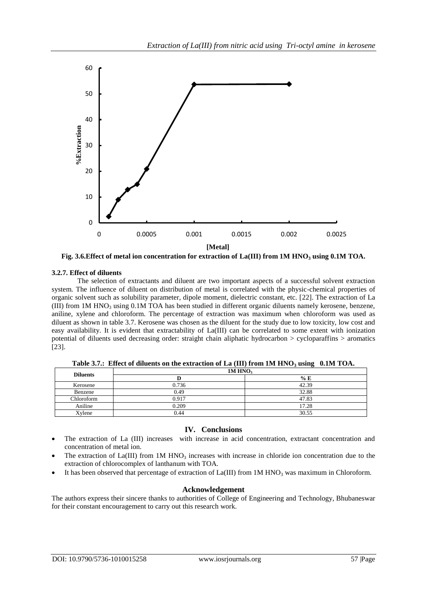

**Fig. 3.6.Effect of metal ion concentration for extraction of La(III) from 1M HNO<sup>3</sup> using 0.1M TOA.**

# **3.2.7. Effect of diluents**

The selection of extractants and diluent are two important aspects of a successful solvent extraction system. The influence of diluent on distribution of metal is correlated with the physic-chemical properties of organic solvent such as solubility parameter, dipole moment, dielectric constant, etc. [22]. The extraction of La (III) from 1M HNO<sub>3</sub> using 0.1M TOA has been studied in different organic diluents namely kerosene, benzene, aniline, xylene and chloroform. The percentage of extraction was maximum when chloroform was used as diluent as shown in table 3.7. Kerosene was chosen as the diluent for the study due to low toxicity, low cost and easy availability. It is evident that extractability of La(III) can be correlated to some extent with ionization potential of diluents used decreasing order: straight chain aliphatic hydrocarbon > cycloparaffins > aromatics [23].

| <b>Diluents</b> | 1M HNO <sub>3</sub> |       |
|-----------------|---------------------|-------|
|                 |                     | % E   |
| Kerosene        | 0.736               | 42.39 |
| Benzene         | 0.49                | 32.88 |
| Chloroform      | 0.917               | 47.83 |
| Aniline         | 0.209               | 17.28 |
| Xylene          | 0.44                | 30.55 |

**Table 3.7.: Effect of diluents on the extraction of La (III) from 1M HNO<sup>3</sup> using 0.1M TOA.**

# **IV. Conclusions**

- The extraction of La (III) increases with increase in acid concentration, extractant concentration and concentration of metal ion.
- The extraction of  $La(III)$  from 1M HNO<sub>3</sub> increases with increase in chloride ion concentration due to the extraction of chlorocomplex of lanthanum with TOA.
- It has been observed that percentage of extraction of  $La(III)$  from  $1M HNO<sub>3</sub>$  was maximum in Chloroform.

# **Acknowledgement**

The authors express their sincere thanks to authorities of College of Engineering and Technology, Bhubaneswar for their constant encouragement to carry out this research work.